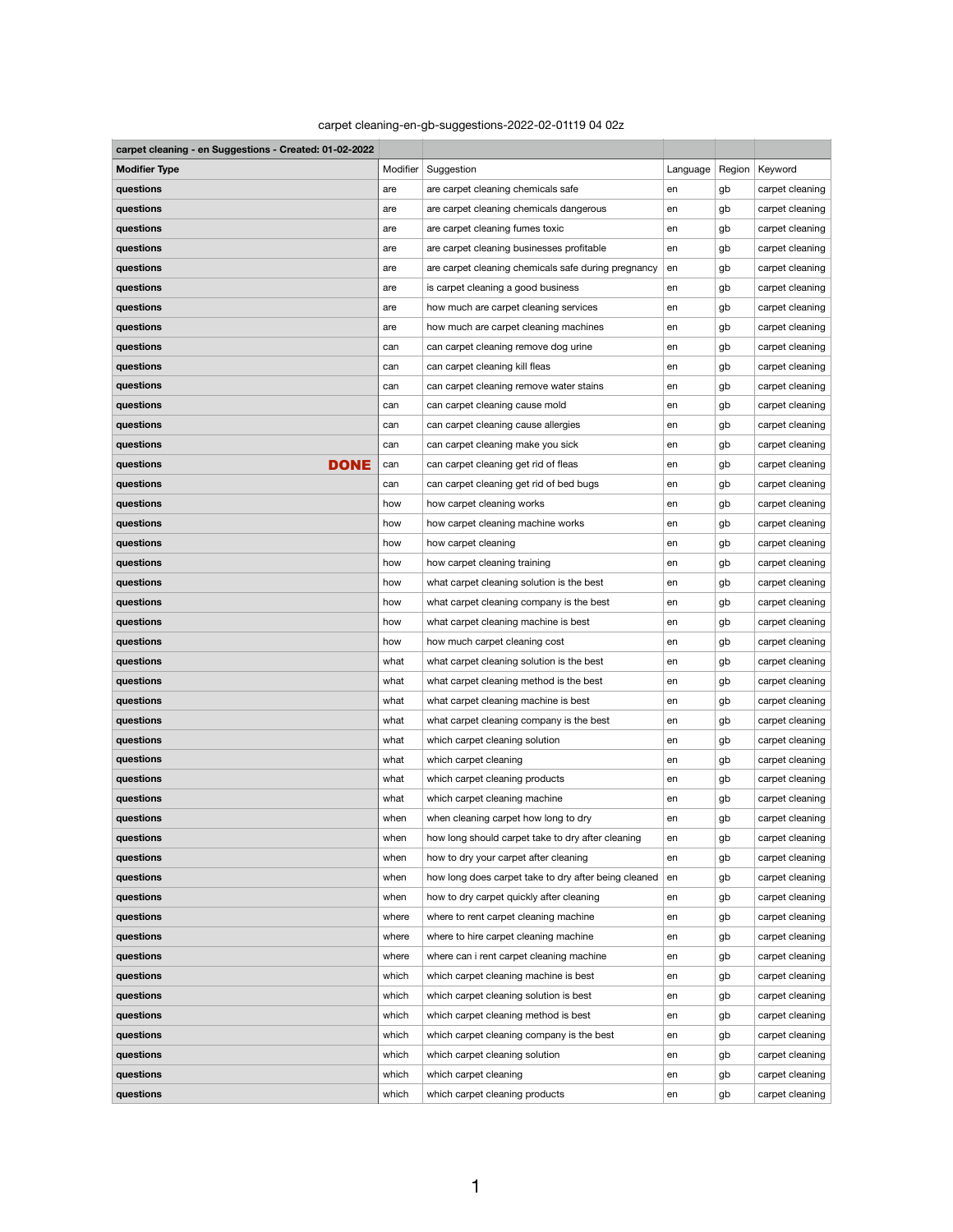## carpet cleaning-en-gb-suggestions-2022-02-01t19 04 02z

| carpet cleaning - en Suggestions - Created: 01-02-2022 |          |                                                      |          |        |                 |
|--------------------------------------------------------|----------|------------------------------------------------------|----------|--------|-----------------|
| <b>Modifier Type</b>                                   | Modifier | Suggestion                                           | Language | Region | Keyword         |
| questions                                              | are      | are carpet cleaning chemicals safe                   | en       | gb     | carpet cleaning |
| questions                                              | are      | are carpet cleaning chemicals dangerous              | en       | gb     | carpet cleaning |
| questions                                              | are      | are carpet cleaning fumes toxic                      | en       | gb     | carpet cleaning |
| questions                                              | are      | are carpet cleaning businesses profitable            | en       | gb     | carpet cleaning |
| questions                                              | are      | are carpet cleaning chemicals safe during pregnancy  | en       | gb     | carpet cleaning |
| questions                                              | are      | is carpet cleaning a good business                   | en       | gb     | carpet cleaning |
| questions                                              | are      | how much are carpet cleaning services                | en       | gb     | carpet cleaning |
| questions                                              | are      | how much are carpet cleaning machines                | en       | gb     | carpet cleaning |
| questions                                              | can      | can carpet cleaning remove dog urine                 | en       | gb     | carpet cleaning |
| questions                                              | can      | can carpet cleaning kill fleas                       | en       | gb     | carpet cleaning |
| questions                                              | can      | can carpet cleaning remove water stains              | en       | gb     | carpet cleaning |
| questions                                              | can      | can carpet cleaning cause mold                       | en       | gb     | carpet cleaning |
| questions                                              | can      | can carpet cleaning cause allergies                  | en       | gb     | carpet cleaning |
| questions                                              | can      | can carpet cleaning make you sick                    | en       | gb     | carpet cleaning |
| <b>DONE</b><br>questions                               | can      | can carpet cleaning get rid of fleas                 | en       | gb     | carpet cleaning |
| questions                                              | can      | can carpet cleaning get rid of bed bugs              | en       | gb     | carpet cleaning |
| questions                                              | how      | how carpet cleaning works                            | en       | gb     | carpet cleaning |
| questions                                              | how      | how carpet cleaning machine works                    | en       | gb     | carpet cleaning |
| questions                                              | how      | how carpet cleaning                                  | en       | gb     | carpet cleaning |
| questions                                              | how      | how carpet cleaning training                         | en       | gb     | carpet cleaning |
| questions                                              | how      | what carpet cleaning solution is the best            | en       | gb     | carpet cleaning |
| questions                                              | how      | what carpet cleaning company is the best             | en       | gb     | carpet cleaning |
| questions                                              | how      | what carpet cleaning machine is best                 | en       | gb     | carpet cleaning |
| questions                                              | how      | how much carpet cleaning cost                        | en       | gb     | carpet cleaning |
| questions                                              | what     | what carpet cleaning solution is the best            | en       | gb     | carpet cleaning |
| questions                                              | what     | what carpet cleaning method is the best              | en       | gb     | carpet cleaning |
| questions                                              | what     | what carpet cleaning machine is best                 | en       | gb     | carpet cleaning |
| questions                                              | what     | what carpet cleaning company is the best             | en       | gb     | carpet cleaning |
| questions                                              | what     | which carpet cleaning solution                       | en       | gb     | carpet cleaning |
| questions                                              | what     | which carpet cleaning                                | en       | gb     | carpet cleaning |
| questions                                              | what     | which carpet cleaning products                       | en       | gb     | carpet cleaning |
| questions                                              | what     | which carpet cleaning machine                        | en       | gb     | carpet cleaning |
| questions                                              | when     | when cleaning carpet how long to dry                 | en       | gb     | carpet cleaning |
| questions                                              | when     | how long should carpet take to dry after cleaning    | en       | gb     | carpet cleaning |
| questions                                              | when     | how to dry your carpet after cleaning                | en       | gb     | carpet cleaning |
| questions                                              | when     | how long does carpet take to dry after being cleaned | en       | gb     | carpet cleaning |
| questions                                              | when     | how to dry carpet quickly after cleaning             | en       | gb     | carpet cleaning |
| questions                                              | where    | where to rent carpet cleaning machine                | en       | gb     | carpet cleaning |
| questions                                              | where    | where to hire carpet cleaning machine                | en       | gb     | carpet cleaning |
| questions                                              | where    | where can i rent carpet cleaning machine             | en       | gb     | carpet cleaning |
| questions                                              | which    | which carpet cleaning machine is best                | en       | gb     | carpet cleaning |
| questions                                              | which    | which carpet cleaning solution is best               | en       | gb     | carpet cleaning |
| questions                                              | which    | which carpet cleaning method is best                 | en       | gb     | carpet cleaning |
| questions                                              | which    | which carpet cleaning company is the best            | en       | gb     | carpet cleaning |
| questions                                              | which    | which carpet cleaning solution                       | en       | gb     | carpet cleaning |
| questions                                              | which    | which carpet cleaning                                | en       | gb     | carpet cleaning |
| questions                                              | which    | which carpet cleaning products                       | en       | gb     | carpet cleaning |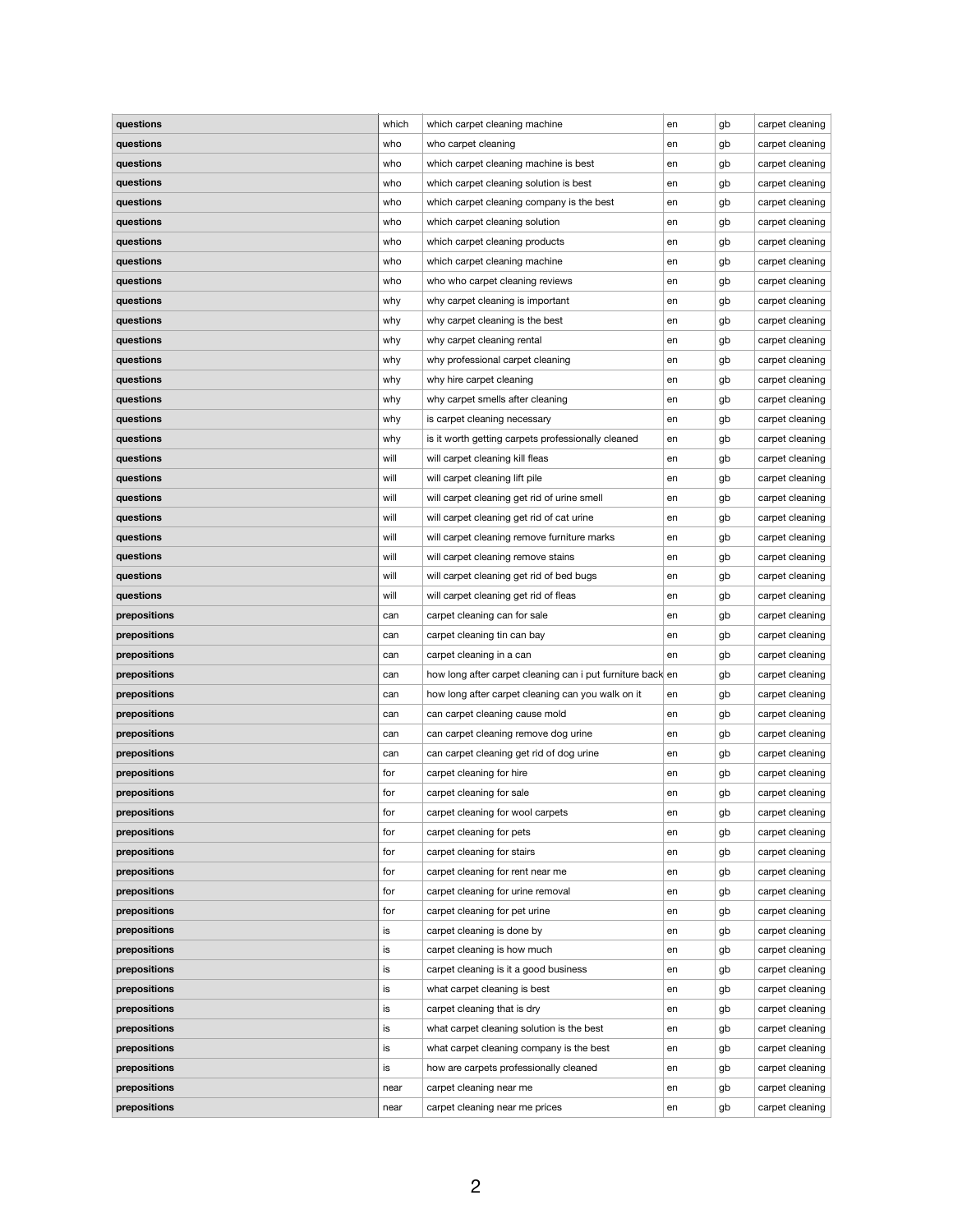| questions    | which      | which carpet cleaning machine                              | en | gb | carpet cleaning |
|--------------|------------|------------------------------------------------------------|----|----|-----------------|
| questions    | who        | who carpet cleaning                                        | en | gb | carpet cleaning |
| questions    | who        | which carpet cleaning machine is best                      | en | gb | carpet cleaning |
| questions    | who        | which carpet cleaning solution is best                     |    |    | carpet cleaning |
|              |            |                                                            | en | gb |                 |
| questions    | who        | which carpet cleaning company is the best                  | en | gb | carpet cleaning |
| questions    | who        | which carpet cleaning solution                             | en | gb | carpet cleaning |
| questions    | who        | which carpet cleaning products                             | en | gb | carpet cleaning |
| questions    | who        | which carpet cleaning machine                              | en | gb | carpet cleaning |
| questions    | who        | who who carpet cleaning reviews                            | en | gb | carpet cleaning |
| questions    | why        | why carpet cleaning is important                           | en | gb | carpet cleaning |
| questions    | why        | why carpet cleaning is the best                            | en | gb | carpet cleaning |
| questions    | why        | why carpet cleaning rental                                 | en | gb | carpet cleaning |
| questions    | why        | why professional carpet cleaning                           | en | gb | carpet cleaning |
| questions    | why        | why hire carpet cleaning                                   | en | gb | carpet cleaning |
| questions    | why        | why carpet smells after cleaning                           | en | gb | carpet cleaning |
| questions    | why        | is carpet cleaning necessary                               | en | gb | carpet cleaning |
| questions    | why        | is it worth getting carpets professionally cleaned         | en | gb | carpet cleaning |
| questions    | will       | will carpet cleaning kill fleas                            | en | gb | carpet cleaning |
| questions    | will       | will carpet cleaning lift pile                             | en | gb | carpet cleaning |
| questions    | will       | will carpet cleaning get rid of urine smell                | en | gb | carpet cleaning |
| questions    | will       | will carpet cleaning get rid of cat urine                  | en | gb | carpet cleaning |
| questions    | will       | will carpet cleaning remove furniture marks                | en | gb | carpet cleaning |
| questions    | will       | will carpet cleaning remove stains                         | en | gb | carpet cleaning |
| questions    | will       | will carpet cleaning get rid of bed bugs                   | en | gb | carpet cleaning |
| questions    | will       | will carpet cleaning get rid of fleas                      | en | gb | carpet cleaning |
| prepositions | can        | carpet cleaning can for sale                               | en | gb | carpet cleaning |
| prepositions |            | carpet cleaning tin can bay                                |    |    | carpet cleaning |
| prepositions | can<br>can | carpet cleaning in a can                                   | en | gb | carpet cleaning |
|              |            |                                                            | en | gb |                 |
| prepositions | can        | how long after carpet cleaning can i put furniture back en |    | gb | carpet cleaning |
| prepositions | can        | how long after carpet cleaning can you walk on it          | en | gb | carpet cleaning |
| prepositions | can        | can carpet cleaning cause mold                             | en | gb | carpet cleaning |
| prepositions | can        | can carpet cleaning remove dog urine                       | en | gb | carpet cleaning |
| prepositions | can        | can carpet cleaning get rid of dog urine                   | en | gb | carpet cleaning |
| prepositions | for        | carpet cleaning for hire                                   | en | gb | carpet cleaning |
| prepositions | for        | carpet cleaning for sale                                   | en | gb | carpet cleaning |
| prepositions | for        | carpet cleaning for wool carpets                           | en | gb | carpet cleaning |
| prepositions | for        | carpet cleaning for pets                                   | en | gb | carpet cleaning |
| prepositions | for        | carpet cleaning for stairs                                 | en | gb | carpet cleaning |
| prepositions | for        | carpet cleaning for rent near me                           | en | gb | carpet cleaning |
| prepositions | for        | carpet cleaning for urine removal                          | en | gb | carpet cleaning |
| prepositions | for        | carpet cleaning for pet urine                              | en | gb | carpet cleaning |
| prepositions | is         | carpet cleaning is done by                                 | en | gb | carpet cleaning |
| prepositions | is         | carpet cleaning is how much                                | en | gb | carpet cleaning |
| prepositions | is         | carpet cleaning is it a good business                      | en | gb | carpet cleaning |
| prepositions | İS         | what carpet cleaning is best                               | en | gb | carpet cleaning |
| prepositions | is         | carpet cleaning that is dry                                | en | gb | carpet cleaning |
| prepositions | is         | what carpet cleaning solution is the best                  | en | gb | carpet cleaning |
| prepositions | is         | what carpet cleaning company is the best                   | en | gb | carpet cleaning |
| prepositions | is         | how are carpets professionally cleaned                     | en | gb | carpet cleaning |
| prepositions | near       | carpet cleaning near me                                    | en | gb | carpet cleaning |
| prepositions | near       | carpet cleaning near me prices                             | en | gb | carpet cleaning |
|              |            |                                                            |    |    |                 |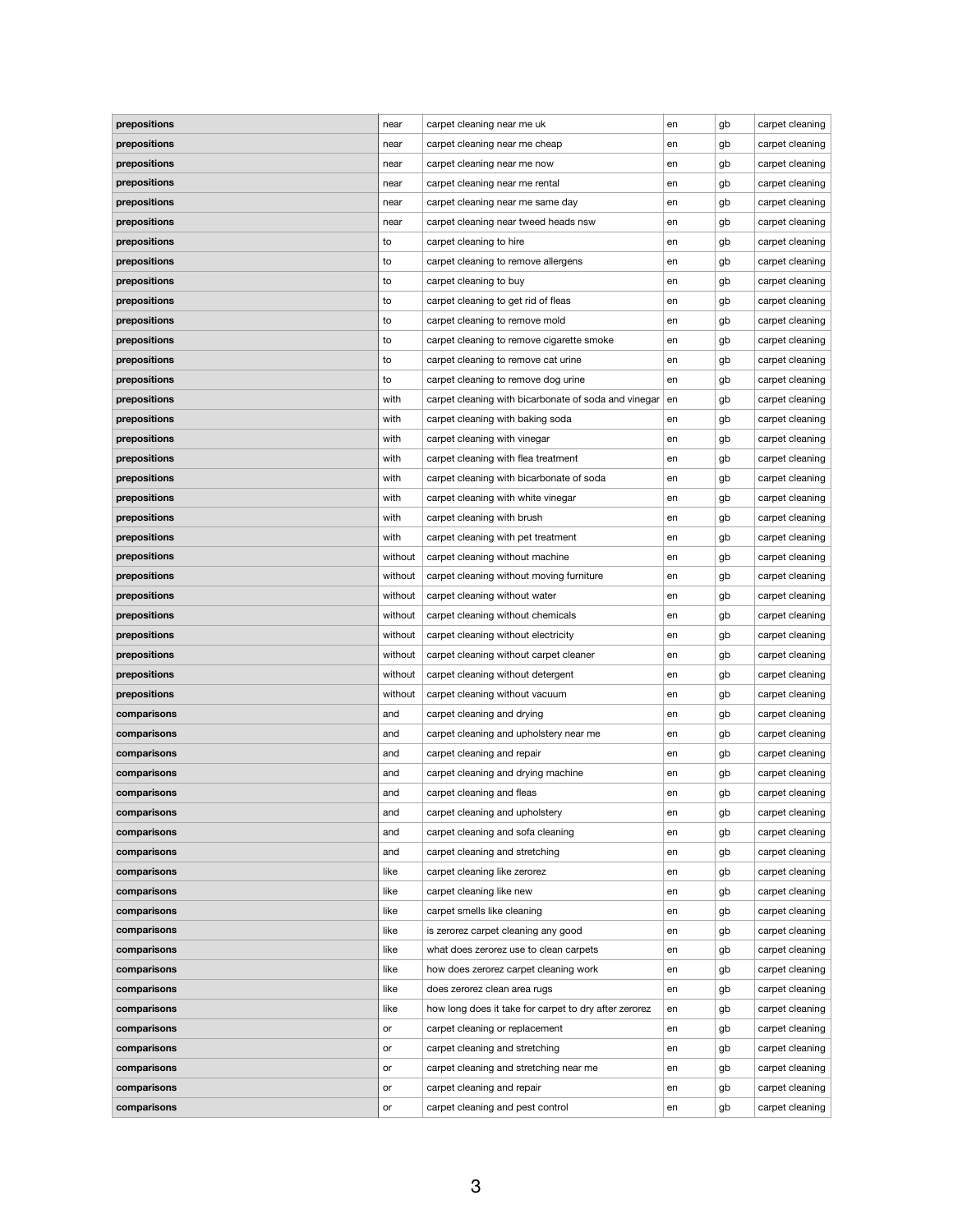| prepositions | near    | carpet cleaning near me uk                            | en | gb | carpet cleaning |
|--------------|---------|-------------------------------------------------------|----|----|-----------------|
| prepositions | near    | carpet cleaning near me cheap                         | en | gb | carpet cleaning |
| prepositions | near    | carpet cleaning near me now                           | en | gb | carpet cleaning |
| prepositions | near    | carpet cleaning near me rental                        | en | gb | carpet cleaning |
| prepositions | near    | carpet cleaning near me same day                      | en | gb | carpet cleaning |
| prepositions | near    | carpet cleaning near tweed heads nsw                  | en | gb | carpet cleaning |
| prepositions | to      | carpet cleaning to hire                               | en | gb | carpet cleaning |
| prepositions | to      | carpet cleaning to remove allergens                   | en | gb | carpet cleaning |
| prepositions | to      | carpet cleaning to buy                                | en | gb | carpet cleaning |
| prepositions | to      | carpet cleaning to get rid of fleas                   | en | gb | carpet cleaning |
| prepositions | to      | carpet cleaning to remove mold                        | en | gb | carpet cleaning |
| prepositions | to      | carpet cleaning to remove cigarette smoke             | en | gb | carpet cleaning |
| prepositions | to      | carpet cleaning to remove cat urine                   | en | gb | carpet cleaning |
| prepositions | to      | carpet cleaning to remove dog urine                   | en | gb | carpet cleaning |
| prepositions | with    | carpet cleaning with bicarbonate of soda and vinegar  | en | gb | carpet cleaning |
| prepositions | with    | carpet cleaning with baking soda                      | en | gb | carpet cleaning |
| prepositions | with    | carpet cleaning with vinegar                          | en | gb | carpet cleaning |
| prepositions | with    | carpet cleaning with flea treatment                   | en | gb | carpet cleaning |
| prepositions | with    | carpet cleaning with bicarbonate of soda              | en | gb | carpet cleaning |
| prepositions | with    | carpet cleaning with white vinegar                    | en | gb | carpet cleaning |
| prepositions | with    | carpet cleaning with brush                            | en | gb | carpet cleaning |
| prepositions | with    | carpet cleaning with pet treatment                    | en | gb | carpet cleaning |
| prepositions | without | carpet cleaning without machine                       | en | gb | carpet cleaning |
| prepositions | without | carpet cleaning without moving furniture              | en | gb | carpet cleaning |
| prepositions | without | carpet cleaning without water                         | en | gb | carpet cleaning |
| prepositions | without | carpet cleaning without chemicals                     | en | gb | carpet cleaning |
| prepositions | without | carpet cleaning without electricity                   | en | gb | carpet cleaning |
| prepositions | without | carpet cleaning without carpet cleaner                | en | gb | carpet cleaning |
| prepositions | without | carpet cleaning without detergent                     | en | gb | carpet cleaning |
| prepositions | without | carpet cleaning without vacuum                        | en | gb | carpet cleaning |
| comparisons  | and     | carpet cleaning and drying                            | en | gb | carpet cleaning |
| comparisons  | and     | carpet cleaning and upholstery near me                |    |    |                 |
|              |         |                                                       |    |    |                 |
|              |         |                                                       | en | gb | carpet cleaning |
| comparisons  | and     | carpet cleaning and repair                            | en | gb | carpet cleaning |
| comparisons  | and     | carpet cleaning and drying machine                    | en | gb | carpet cleaning |
| comparisons  | and     | carpet cleaning and fleas                             | en | gb | carpet cleaning |
| comparisons  | and     | carpet cleaning and upholstery                        | en | gb | carpet cleaning |
| comparisons  | and     | carpet cleaning and sofa cleaning                     | en | gb | carpet cleaning |
| comparisons  | and     | carpet cleaning and stretching                        | en | gb | carpet cleaning |
| comparisons  | like    | carpet cleaning like zerorez                          | en | gb | carpet cleaning |
| comparisons  | like    | carpet cleaning like new                              | en | gb | carpet cleaning |
| comparisons  | like    | carpet smells like cleaning                           | en | gb | carpet cleaning |
| comparisons  | like    | is zerorez carpet cleaning any good                   | en | gb | carpet cleaning |
| comparisons  | like    | what does zerorez use to clean carpets                | en | gb | carpet cleaning |
| comparisons  | like    | how does zerorez carpet cleaning work                 | en | gb | carpet cleaning |
| comparisons  | like    | does zerorez clean area rugs                          | en | gb | carpet cleaning |
| comparisons  | like    | how long does it take for carpet to dry after zerorez | en | gb | carpet cleaning |
| comparisons  | or      | carpet cleaning or replacement                        | en | gb | carpet cleaning |
| comparisons  | or      | carpet cleaning and stretching                        | en | gb | carpet cleaning |
| comparisons  | or      | carpet cleaning and stretching near me                | en | gb | carpet cleaning |
| comparisons  | or      | carpet cleaning and repair                            | en | gb | carpet cleaning |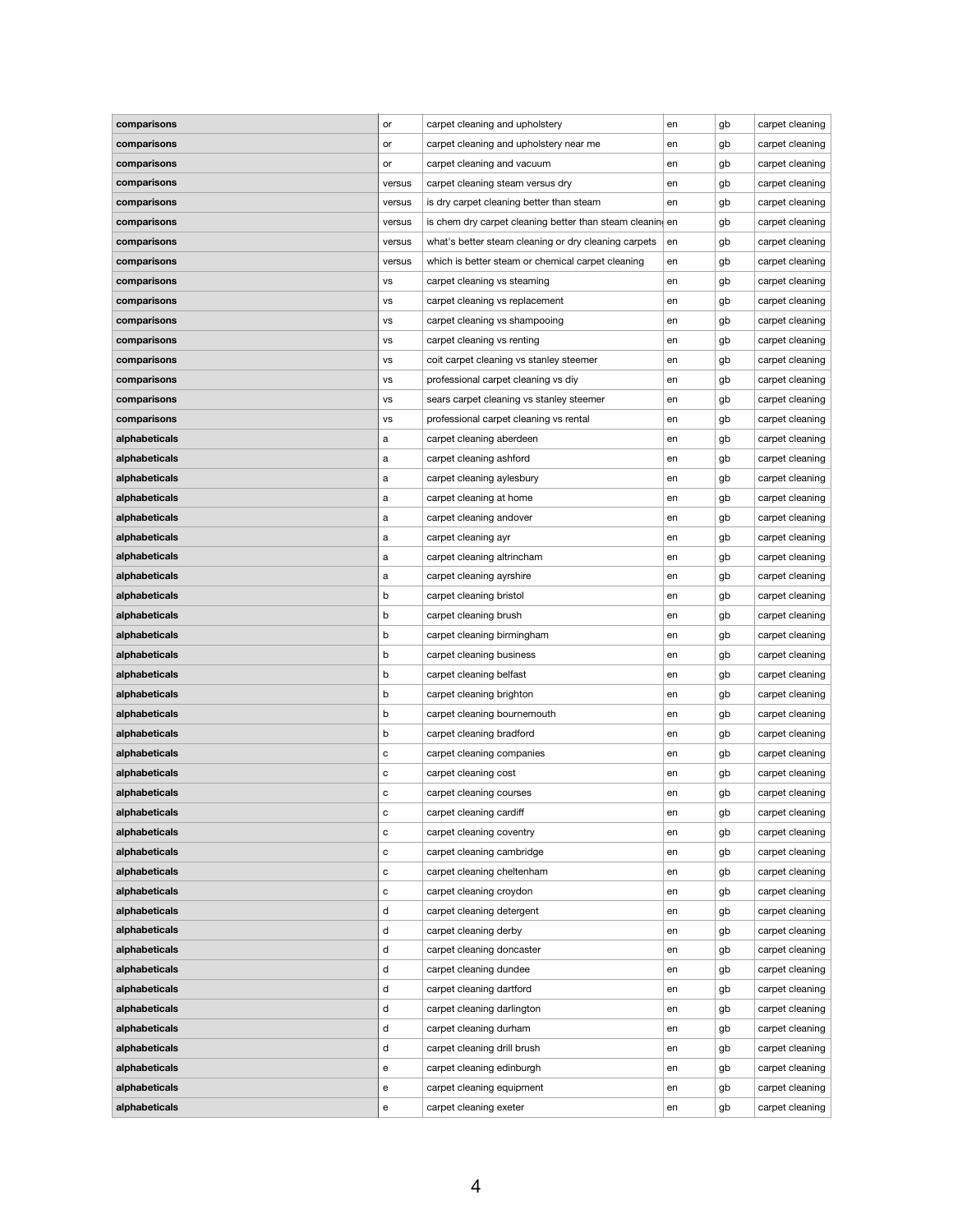| comparisons   | or        | carpet cleaning and upholstery                            | en | gb | carpet cleaning |
|---------------|-----------|-----------------------------------------------------------|----|----|-----------------|
| comparisons   | or        | carpet cleaning and upholstery near me                    | en | gb | carpet cleaning |
| comparisons   | or        | carpet cleaning and vacuum                                | en | gb | carpet cleaning |
| comparisons   | versus    | carpet cleaning steam versus dry                          | en | gb | carpet cleaning |
| comparisons   | versus    | is dry carpet cleaning better than steam                  | en | gb | carpet cleaning |
| comparisons   | versus    | is chem dry carpet cleaning better than steam cleaning en |    | gb | carpet cleaning |
| comparisons   | versus    | what's better steam cleaning or dry cleaning carpets      | en | gb | carpet cleaning |
| comparisons   | versus    | which is better steam or chemical carpet cleaning         | en | gb | carpet cleaning |
| comparisons   | <b>VS</b> | carpet cleaning vs steaming                               | en | gb | carpet cleaning |
| comparisons   | ٧S        | carpet cleaning vs replacement                            | en | gb | carpet cleaning |
| comparisons   | <b>VS</b> | carpet cleaning vs shampooing                             | en | gb | carpet cleaning |
| comparisons   | <b>VS</b> | carpet cleaning vs renting                                | en | gb | carpet cleaning |
| comparisons   | ٧S        | coit carpet cleaning vs stanley steemer                   | en | gb | carpet cleaning |
| comparisons   | <b>VS</b> | professional carpet cleaning vs diy                       | en | gb | carpet cleaning |
| comparisons   | <b>VS</b> | sears carpet cleaning vs stanley steemer                  | en | gb | carpet cleaning |
| comparisons   | <b>VS</b> | professional carpet cleaning vs rental                    | en | gb | carpet cleaning |
| alphabeticals | a         | carpet cleaning aberdeen                                  | en | gb | carpet cleaning |
| alphabeticals | а         | carpet cleaning ashford                                   | en | gb | carpet cleaning |
| alphabeticals | a         | carpet cleaning aylesbury                                 | en | gb | carpet cleaning |
| alphabeticals | a         | carpet cleaning at home                                   | en | gb | carpet cleaning |
| alphabeticals | a         | carpet cleaning andover                                   | en | gb | carpet cleaning |
| alphabeticals | а         | carpet cleaning ayr                                       | en | gb | carpet cleaning |
| alphabeticals | а         | carpet cleaning altrincham                                | en | gb | carpet cleaning |
| alphabeticals | a         | carpet cleaning ayrshire                                  | en | gb | carpet cleaning |
| alphabeticals | b         | carpet cleaning bristol                                   | en | gb | carpet cleaning |
| alphabeticals | b         | carpet cleaning brush                                     | en | gb | carpet cleaning |
| alphabeticals | b         | carpet cleaning birmingham                                | en | gb | carpet cleaning |
| alphabeticals | b         | carpet cleaning business                                  | en | gb | carpet cleaning |
| alphabeticals | b         | carpet cleaning belfast                                   | en | gb | carpet cleaning |
| alphabeticals | b         | carpet cleaning brighton                                  | en | gb | carpet cleaning |
| alphabeticals | b         | carpet cleaning bournemouth                               | en | gb | carpet cleaning |
| alphabeticals | b         | carpet cleaning bradford                                  | en | gb | carpet cleaning |
| alphabeticals | С         | carpet cleaning companies                                 | en | gb | carpet cleaning |
| alphabeticals | С         | carpet cleaning cost                                      | en | gb | carpet cleaning |
| alphabeticals | с         | carpet cleaning courses                                   | en | gb | carpet cleaning |
| alphabeticals | С         | carpet cleaning cardiff                                   | en | gb | carpet cleaning |
| alphabeticals | С         | carpet cleaning coventry                                  | en | gb | carpet cleaning |
| alphabeticals | С         | carpet cleaning cambridge                                 | en | gb | carpet cleaning |
| alphabeticals | С         | carpet cleaning cheltenham                                | en | gb | carpet cleaning |
| alphabeticals | С         | carpet cleaning croydon                                   | en | gb | carpet cleaning |
| alphabeticals | d         | carpet cleaning detergent                                 | en | gb | carpet cleaning |
| alphabeticals | d         | carpet cleaning derby                                     | en | gb | carpet cleaning |
| alphabeticals | d         | carpet cleaning doncaster                                 | en | gb | carpet cleaning |
| alphabeticals | d         | carpet cleaning dundee                                    | en | gb | carpet cleaning |
| alphabeticals | d         | carpet cleaning dartford                                  | en | gb | carpet cleaning |
| alphabeticals | d         | carpet cleaning darlington                                | en | gb | carpet cleaning |
| alphabeticals | d         | carpet cleaning durham                                    | en | gb | carpet cleaning |
| alphabeticals | d         | carpet cleaning drill brush                               | en | gb | carpet cleaning |
| alphabeticals | е         | carpet cleaning edinburgh                                 | en | gb | carpet cleaning |
| alphabeticals | е         | carpet cleaning equipment                                 | en | gb | carpet cleaning |
| alphabeticals | е         | carpet cleaning exeter                                    | en | gb | carpet cleaning |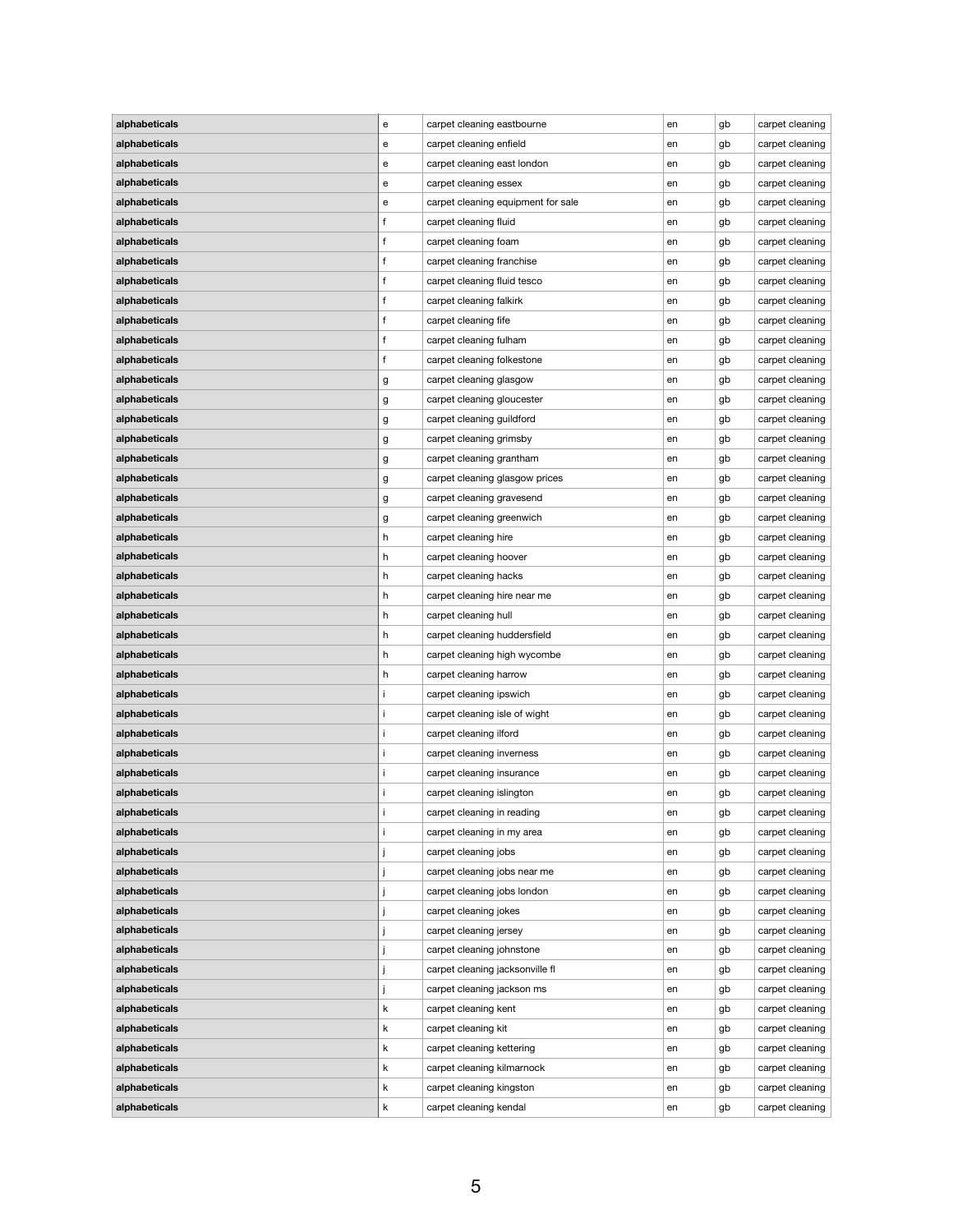| alphabeticals        | e  | carpet cleaning eastbourne         | en | gb | carpet cleaning |
|----------------------|----|------------------------------------|----|----|-----------------|
| alphabeticals        | е  | carpet cleaning enfield            | en | gb | carpet cleaning |
| alphabeticals        | е  | carpet cleaning east london        | en | gb | carpet cleaning |
| alphabeticals        | е  | carpet cleaning essex              | en | gb | carpet cleaning |
| alphabeticals        | е  | carpet cleaning equipment for sale | en | gb | carpet cleaning |
| alphabeticals        | f  | carpet cleaning fluid              | en | gb | carpet cleaning |
| alphabeticals        | f  | carpet cleaning foam               | en | gb | carpet cleaning |
| alphabeticals        | f  | carpet cleaning franchise          | en | gb | carpet cleaning |
| alphabeticals        | f  | carpet cleaning fluid tesco        | en | gb | carpet cleaning |
| alphabeticals        |    | carpet cleaning falkirk            | en | gb | carpet cleaning |
| alphabeticals        |    | carpet cleaning fife               | en | gb | carpet cleaning |
| alphabeticals        | f  | carpet cleaning fulham             | en | gb | carpet cleaning |
| alphabeticals        |    | carpet cleaning folkestone         | en | gb | carpet cleaning |
| alphabeticals        | g  | carpet cleaning glasgow            | en | gb | carpet cleaning |
| alphabeticals        | g  | carpet cleaning gloucester         | en | gb | carpet cleaning |
| alphabeticals        | g  | carpet cleaning guildford          | en | gb | carpet cleaning |
| alphabeticals        | g  | carpet cleaning grimsby            | en | gb | carpet cleaning |
| alphabeticals        | g  | carpet cleaning grantham           | en | gb | carpet cleaning |
| alphabeticals        | g  | carpet cleaning glasgow prices     | en | gb | carpet cleaning |
| alphabeticals        | g  | carpet cleaning gravesend          | en | gb | carpet cleaning |
| alphabeticals        | g  | carpet cleaning greenwich          | en | gb | carpet cleaning |
| alphabeticals        | h  | carpet cleaning hire               | en | gb | carpet cleaning |
| alphabeticals        | h  | carpet cleaning hoover             | en | gb | carpet cleaning |
| alphabeticals        | h. | carpet cleaning hacks              | en | gb | carpet cleaning |
| alphabeticals        | h  | carpet cleaning hire near me       | en | gb | carpet cleaning |
| alphabeticals        | h  | carpet cleaning hull               | en | gb | carpet cleaning |
| alphabeticals        | h. | carpet cleaning huddersfield       | en | gb | carpet cleaning |
| alphabeticals        | h. | carpet cleaning high wycombe       | en | gb | carpet cleaning |
| alphabeticals        | h  | carpet cleaning harrow             | en | gb | carpet cleaning |
| alphabeticals        |    | carpet cleaning ipswich            | en | gb | carpet cleaning |
| alphabeticals        |    | carpet cleaning isle of wight      | en | gb | carpet cleaning |
| alphabeticals        |    | carpet cleaning ilford             | en | gb | carpet cleaning |
| alphabeticals        |    | carpet cleaning inverness          | en | gb | carpet cleaning |
| alphabeticals        |    | carpet cleaning insurance          | en | gb | carpet cleaning |
| alphabeticals        |    | carpet cleaning islington          | en | gb | carpet cleaning |
| alphabeticals        |    | carpet cleaning in reading         | en | gb | carpet cleaning |
| alphabeticals        |    | carpet cleaning in my area         | en | gb | carpet cleaning |
| alphabeticals        |    | carpet cleaning jobs               | en | gb | carpet cleaning |
| alphabeticals        |    | carpet cleaning jobs near me       |    | gb | carpet cleaning |
| alphabeticals        |    |                                    | en |    |                 |
| alphabeticals        |    | carpet cleaning jobs london        | en | gb | carpet cleaning |
| alphabeticals        |    | carpet cleaning jokes              | en | gb | carpet cleaning |
|                      |    | carpet cleaning jersey             | en | gb | carpet cleaning |
| alphabeticals        |    | carpet cleaning johnstone          | en | gb | carpet cleaning |
| alphabeticals        |    | carpet cleaning jacksonville fl    | en | gb | carpet cleaning |
| <b>alphabeticals</b> |    | carpet cleaning jackson ms         | en | gb | carpet cleaning |
| alphabeticals        | k  | carpet cleaning kent               | en | gb | carpet cleaning |
| alphabeticals        | k  | carpet cleaning kit                | en | gb | carpet cleaning |
| alphabeticals        | k  | carpet cleaning kettering          | en | gb | carpet cleaning |
| alphabeticals        | k  | carpet cleaning kilmarnock         | en | gb | carpet cleaning |
| alphabeticals        | k  | carpet cleaning kingston           | en | gb | carpet cleaning |
| alphabeticals        | k  | carpet cleaning kendal             | en | gb | carpet cleaning |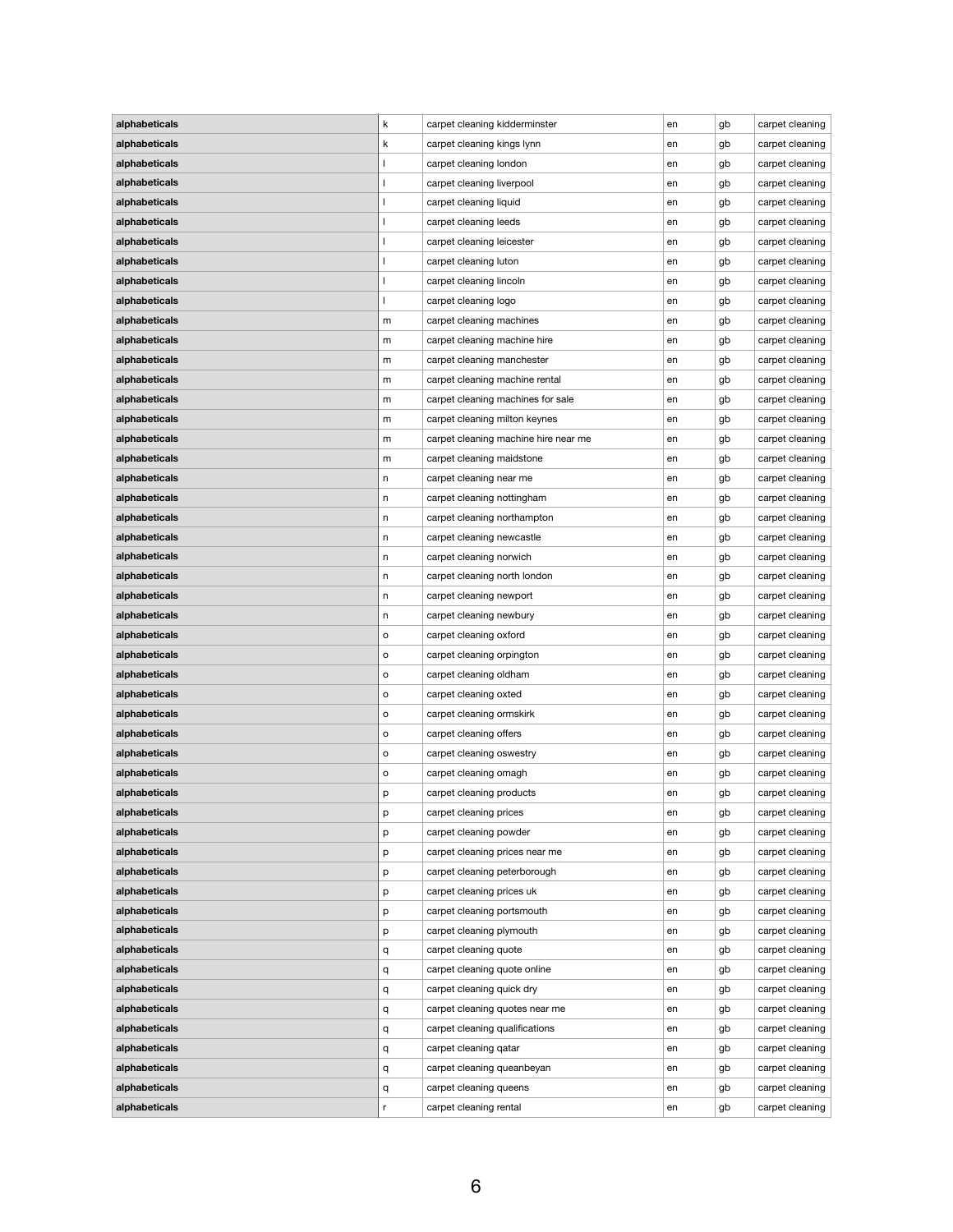| alphabeticals | k | carpet cleaning kidderminster        | en | gb | carpet cleaning |
|---------------|---|--------------------------------------|----|----|-----------------|
| alphabeticals | k | carpet cleaning kings lynn           | en | gb | carpet cleaning |
| alphabeticals |   | carpet cleaning london               | en | gb | carpet cleaning |
| alphabeticals |   | carpet cleaning liverpool            | en | gb | carpet cleaning |
| alphabeticals |   | carpet cleaning liquid               | en | gb | carpet cleaning |
| alphabeticals |   | carpet cleaning leeds                | en | gb | carpet cleaning |
| alphabeticals |   | carpet cleaning leicester            | en | gb | carpet cleaning |
| alphabeticals |   | carpet cleaning luton                | en | gb | carpet cleaning |
| alphabeticals |   | carpet cleaning lincoln              | en | gb | carpet cleaning |
| alphabeticals |   | carpet cleaning logo                 | en | gb | carpet cleaning |
| alphabeticals | m | carpet cleaning machines             | en | gb | carpet cleaning |
| alphabeticals | m | carpet cleaning machine hire         | en | gb | carpet cleaning |
| alphabeticals | m | carpet cleaning manchester           | en | gb | carpet cleaning |
| alphabeticals | m | carpet cleaning machine rental       | en | gb | carpet cleaning |
| alphabeticals | m | carpet cleaning machines for sale    | en | gb | carpet cleaning |
| alphabeticals | m | carpet cleaning milton keynes        | en | gb | carpet cleaning |
| alphabeticals | m | carpet cleaning machine hire near me | en | gb | carpet cleaning |
| alphabeticals | m | carpet cleaning maidstone            | en | gb | carpet cleaning |
| alphabeticals | n | carpet cleaning near me              | en | gb | carpet cleaning |
| alphabeticals | n | carpet cleaning nottingham           | en | gb | carpet cleaning |
| alphabeticals | n | carpet cleaning northampton          | en | gb | carpet cleaning |
| alphabeticals | n | carpet cleaning newcastle            | en | gb | carpet cleaning |
| alphabeticals | n | carpet cleaning norwich              | en | gb | carpet cleaning |
| alphabeticals | n | carpet cleaning north london         | en | gb | carpet cleaning |
| alphabeticals | n | carpet cleaning newport              | en | gb | carpet cleaning |
| alphabeticals | n | carpet cleaning newbury              | en | gb | carpet cleaning |
| alphabeticals | о | carpet cleaning oxford               | en | gb | carpet cleaning |
| alphabeticals | о | carpet cleaning orpington            | en | gb | carpet cleaning |
| alphabeticals | о | carpet cleaning oldham               | en | gb | carpet cleaning |
| alphabeticals | о | carpet cleaning oxted                | en | gb | carpet cleaning |
| alphabeticals | о | carpet cleaning ormskirk             | en | gb | carpet cleaning |
| alphabeticals | о | carpet cleaning offers               | en | gb | carpet cleaning |
| alphabeticals | о | carpet cleaning oswestry             | en | gb | carpet cleaning |
| alphabeticals | о | carpet cleaning omagh                | en | gb | carpet cleaning |
| alphabeticals | p | carpet cleaning products             | en | gb | carpet cleaning |
| alphabeticals | р | carpet cleaning prices               | en | gb | carpet cleaning |
| alphabeticals | р | carpet cleaning powder               | en | gb | carpet cleaning |
| alphabeticals | p | carpet cleaning prices near me       | en | gb | carpet cleaning |
| alphabeticals | р | carpet cleaning peterborough         | en | gb | carpet cleaning |
| alphabeticals | р | carpet cleaning prices uk            | en | gb | carpet cleaning |
| alphabeticals | p | carpet cleaning portsmouth           | en | gb | carpet cleaning |
| alphabeticals | p | carpet cleaning plymouth             | en | gb | carpet cleaning |
| alphabeticals | q | carpet cleaning quote                | en | gb | carpet cleaning |
| alphabeticals | q | carpet cleaning quote online         | en | gb | carpet cleaning |
| alphabeticals | q | carpet cleaning quick dry            | en | gb | carpet cleaning |
| alphabeticals | q | carpet cleaning quotes near me       | en | gb | carpet cleaning |
| alphabeticals | q | carpet cleaning qualifications       | en | gb | carpet cleaning |
| alphabeticals | q | carpet cleaning qatar                | en | gb | carpet cleaning |
| alphabeticals | q | carpet cleaning queanbeyan           | en | gb | carpet cleaning |
| alphabeticals | q | carpet cleaning queens               | en | gb | carpet cleaning |
| alphabeticals | r | carpet cleaning rental               | en | gb | carpet cleaning |
|               |   |                                      |    |    |                 |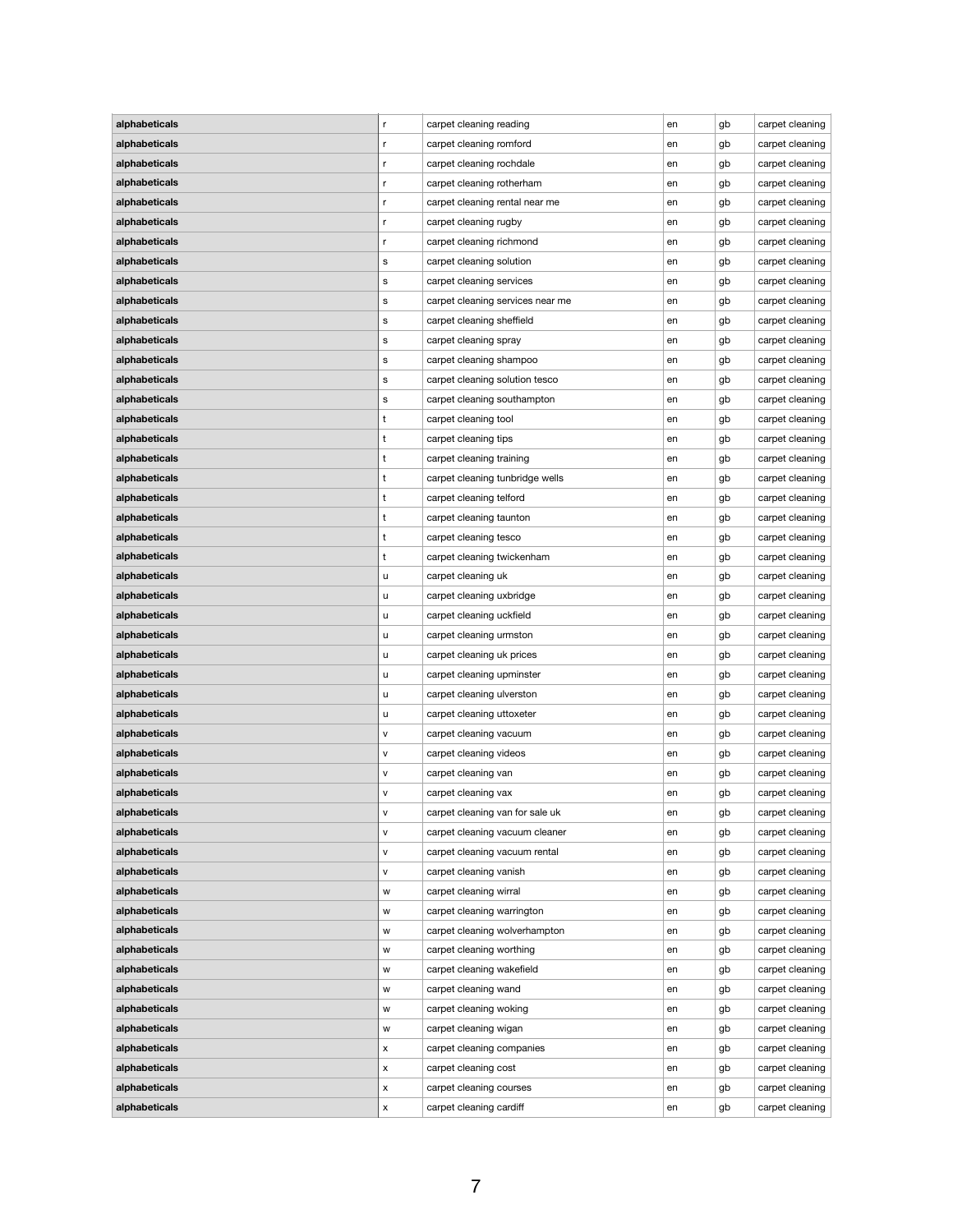| alphabeticals | r | carpet cleaning reading          | en | gb | carpet cleaning |
|---------------|---|----------------------------------|----|----|-----------------|
| alphabeticals | r | carpet cleaning romford          | en | gb | carpet cleaning |
| alphabeticals | r | carpet cleaning rochdale         | en | gb | carpet cleaning |
| alphabeticals | r | carpet cleaning rotherham        | en | gb | carpet cleaning |
| alphabeticals | r | carpet cleaning rental near me   | en | gb | carpet cleaning |
| alphabeticals | r | carpet cleaning rugby            | en | gb | carpet cleaning |
| alphabeticals | r | carpet cleaning richmond         | en | gb | carpet cleaning |
| alphabeticals | s | carpet cleaning solution         | en | gb | carpet cleaning |
| alphabeticals | s | carpet cleaning services         | en | gb | carpet cleaning |
| alphabeticals | s | carpet cleaning services near me | en | gb | carpet cleaning |
| alphabeticals | s | carpet cleaning sheffield        | en | gb | carpet cleaning |
| alphabeticals | s | carpet cleaning spray            | en | gb | carpet cleaning |
| alphabeticals | s | carpet cleaning shampoo          | en | gb | carpet cleaning |
| alphabeticals | s | carpet cleaning solution tesco   | en | gb | carpet cleaning |
| alphabeticals | s | carpet cleaning southampton      | en | gb | carpet cleaning |
| alphabeticals | t | carpet cleaning tool             | en | gb | carpet cleaning |
| alphabeticals | t | carpet cleaning tips             | en | gb | carpet cleaning |
| alphabeticals | t | carpet cleaning training         | en | gb | carpet cleaning |
| alphabeticals | t | carpet cleaning tunbridge wells  | en | gb | carpet cleaning |
| alphabeticals | t | carpet cleaning telford          | en | gb | carpet cleaning |
| alphabeticals | t | carpet cleaning taunton          | en | gb | carpet cleaning |
| alphabeticals | t | carpet cleaning tesco            | en | gb | carpet cleaning |
| alphabeticals | t | carpet cleaning twickenham       | en | gb | carpet cleaning |
| alphabeticals | u | carpet cleaning uk               | en | gb | carpet cleaning |
| alphabeticals | u | carpet cleaning uxbridge         | en | gb | carpet cleaning |
| alphabeticals | u | carpet cleaning uckfield         | en | gb | carpet cleaning |
| alphabeticals | u | carpet cleaning urmston          | en | gb | carpet cleaning |
| alphabeticals | u | carpet cleaning uk prices        | en | gb | carpet cleaning |
| alphabeticals | u | carpet cleaning upminster        | en | gb | carpet cleaning |
| alphabeticals | u | carpet cleaning ulverston        | en | gb | carpet cleaning |
| alphabeticals | u | carpet cleaning uttoxeter        | en | gb | carpet cleaning |
| alphabeticals | v | carpet cleaning vacuum           | en | gb | carpet cleaning |
| alphabeticals | ۷ | carpet cleaning videos           | en | gb | carpet cleaning |
| alphabeticals | V | carpet cleaning van              | en | gb | carpet cleaning |
| alphabeticals | v | carpet cleaning vax              | en | gb | carpet cleaning |
| alphabeticals | ۷ | carpet cleaning van for sale uk  | en | gb | carpet cleaning |
| alphabeticals | ۷ | carpet cleaning vacuum cleaner   | en | gb | carpet cleaning |
| alphabeticals | v | carpet cleaning vacuum rental    | en | gb | carpet cleaning |
| alphabeticals | V | carpet cleaning vanish           | en | gb | carpet cleaning |
| alphabeticals | w | carpet cleaning wirral           | en | gb | carpet cleaning |
| alphabeticals | w | carpet cleaning warrington       | en | gb | carpet cleaning |
| alphabeticals |   | carpet cleaning wolverhampton    |    |    | carpet cleaning |
|               | w | carpet cleaning worthing         | en | gb |                 |
| alphabeticals | w |                                  | en | gb | carpet cleaning |
| alphabeticals | w | carpet cleaning wakefield        | en | gb | carpet cleaning |
| alphabeticals | w | carpet cleaning wand             | en | gb | carpet cleaning |
| alphabeticals | W | carpet cleaning woking           | en | gb | carpet cleaning |
| alphabeticals | w | carpet cleaning wigan            | en | gb | carpet cleaning |
| alphabeticals | X | carpet cleaning companies        | en | gb | carpet cleaning |
| alphabeticals | X | carpet cleaning cost             | en | gb | carpet cleaning |
| alphabeticals | x | carpet cleaning courses          | en | gb | carpet cleaning |
| alphabeticals | X | carpet cleaning cardiff          | en | gb | carpet cleaning |